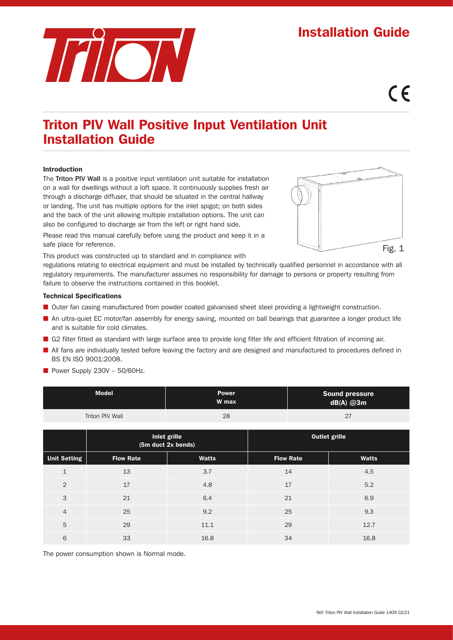# TAION

# Installation Guide

# $\epsilon$

## Triton PIV Wall Positive Input Ventilation Unit Installation Guide

#### Introduction

The Triton PIV Wall is a positive input ventilation unit suitable for installation on a wall for dwellings without a loft space. It continuously supplies fresh air through a discharge diffuser, that should be situated in the central hallway or landing. The unit has multiple options for the inlet spigot; on both sides and the back of the unit allowing multiple installation options. The unit can also be configured to discharge air from the left or right hand side.

Please read this manual carefully before using the product and keep it in a safe place for reference.

This product was constructed up to standard and in compliance with

regulations relating to electrical equipment and must be installed by technically qualified personnel in accordance with all regulatory requirements. The manufacturer assumes no responsibility for damage to persons or property resulting from failure to observe the instructions contained in this booklet.

#### Technical Specifications

- Outer fan casing manufactured from powder coated galvanised sheet steel providing a lightweight construction.
- An ultra-quiet EC motor/fan assembly for energy saving, mounted on ball bearings that guarantee a longer product life and is suitable for cold climates.
- G2 filter fitted as standard with large surface area to provide long filter life and efficient filtration of incoming air.
- All fans are individually tested before leaving the factory and are designed and manufactured to procedures defined in BS EN ISO 9001:2008.
- Power Supply  $230V 50/60$ Hz.

| <b>Model</b>    | <b>Power</b><br>W max | <b>Sound pressure</b><br>$dB(A)$ @3m |
|-----------------|-----------------------|--------------------------------------|
| Triton PIV Wall | 28                    | 27                                   |

|                     | Inlet grille<br>(5m duct 2x bends) |              | <b>Outlet grille</b> |              |
|---------------------|------------------------------------|--------------|----------------------|--------------|
| <b>Unit Setting</b> | <b>Flow Rate</b>                   | <b>Watts</b> | <b>Flow Rate</b>     | <b>Watts</b> |
| $\mathbf{1}$        | 13                                 | 3.7          | 14                   | 4.5          |
| $\overline{2}$      | 17                                 | 4.8          | 17                   | 5.2          |
| 3                   | 21                                 | 6.4          | 21                   | 6.9          |
| $\overline{4}$      | 25                                 | 9.2          | 25                   | 9.3          |
| 5                   | 29                                 | 11.1         | 29                   | 12.7         |
| 6                   | 33                                 | 16.8         | 34                   | 16.8         |

The power consumption shown is Normal mode.

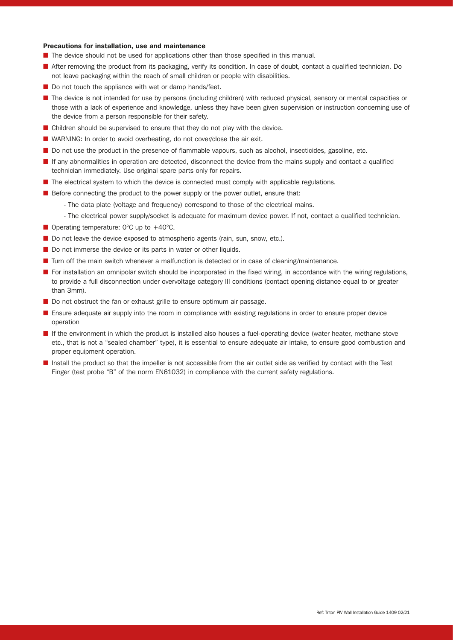#### Precautions for installation, use and maintenance

- The device should not be used for applications other than those specified in this manual.
- After removing the product from its packaging, verify its condition. In case of doubt, contact a qualified technician. Do not leave packaging within the reach of small children or people with disabilities.
- Do not touch the appliance with wet or damp hands/feet.
- The device is not intended for use by persons (including children) with reduced physical, sensory or mental capacities or those with a lack of experience and knowledge, unless they have been given supervision or instruction concerning use of the device from a person responsible for their safety.
- Children should be supervised to ensure that they do not play with the device.
- WARNING: In order to avoid overheating, do not cover/close the air exit.
- Do not use the product in the presence of flammable vapours, such as alcohol, insecticides, gasoline, etc.
- If any abnormalities in operation are detected, disconnect the device from the mains supply and contact a qualified technician immediately. Use original spare parts only for repairs.
- The electrical system to which the device is connected must comply with applicable regulations.
- Before connecting the product to the power supply or the power outlet, ensure that:
	- The data plate (voltage and frequency) correspond to those of the electrical mains.
	- The electrical power supply/socket is adequate for maximum device power. If not, contact a qualified technician.
- Operating temperature: 0°C up to +40°C.
- Do not leave the device exposed to atmospheric agents (rain, sun, snow, etc.).
- Do not immerse the device or its parts in water or other liquids.
- Turn off the main switch whenever a malfunction is detected or in case of cleaning/maintenance.
- For installation an omnipolar switch should be incorporated in the fixed wiring, in accordance with the wiring regulations, to provide a full disconnection under overvoltage category III conditions (contact opening distance equal to or greater than 3mm).
- Do not obstruct the fan or exhaust grille to ensure optimum air passage.
- Ensure adequate air supply into the room in compliance with existing regulations in order to ensure proper device operation
- If the environment in which the product is installed also houses a fuel-operating device (water heater, methane stove etc., that is not a "sealed chamber" type), it is essential to ensure adequate air intake, to ensure good combustion and proper equipment operation.
- Install the product so that the impeller is not accessible from the air outlet side as verified by contact with the Test Finger (test probe "B" of the norm EN61032) in compliance with the current safety regulations.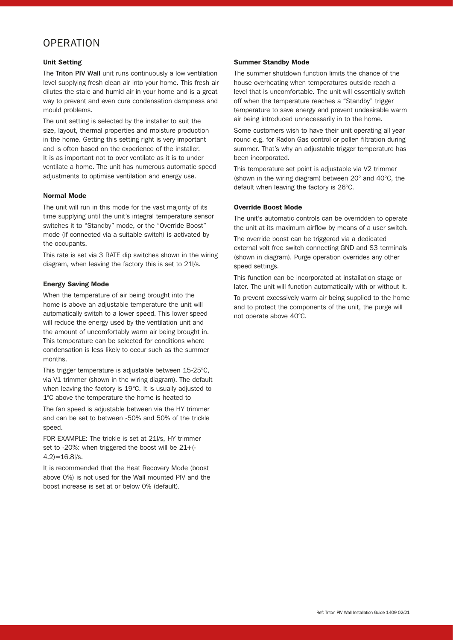#### **OPERATION**

#### Unit Setting

The Triton PIV Wall unit runs continuously a low ventilation level supplying fresh clean air into your home. This fresh air dilutes the stale and humid air in your home and is a great way to prevent and even cure condensation dampness and mould problems.

The unit setting is selected by the installer to suit the size, layout, thermal properties and moisture production in the home. Getting this setting right is very important and is often based on the experience of the installer. It is as important not to over ventilate as it is to under ventilate a home. The unit has numerous automatic speed adjustments to optimise ventilation and energy use.

#### Normal Mode

The unit will run in this mode for the vast majority of its time supplying until the unit's integral temperature sensor switches it to "Standby" mode, or the "Override Boost" mode (if connected via a suitable switch) is activated by the occupants.

This rate is set via 3 RATE dip switches shown in the wiring diagram, when leaving the factory this is set to 21l/s.

#### Energy Saving Mode

When the temperature of air being brought into the home is above an adjustable temperature the unit will automatically switch to a lower speed. This lower speed will reduce the energy used by the ventilation unit and the amount of uncomfortably warm air being brought in. This temperature can be selected for conditions where condensation is less likely to occur such as the summer months.

This trigger temperature is adjustable between 15-25°C, via V1 trimmer (shown in the wiring diagram). The default when leaving the factory is 19°C. It is usually adjusted to 1°C above the temperature the home is heated to

The fan speed is adjustable between via the HY trimmer and can be set to between -50% and 50% of the trickle speed.

FOR EXAMPLE: The trickle is set at 21l/s, HY trimmer set to -20%: when triggered the boost will be 21+(-  $(4.2)=16.8$ l/s.

It is recommended that the Heat Recovery Mode (boost above 0%) is not used for the Wall mounted PIV and the boost increase is set at or below 0% (default).

#### Summer Standby Mode

The summer shutdown function limits the chance of the house overheating when temperatures outside reach a level that is uncomfortable. The unit will essentially switch off when the temperature reaches a "Standby" trigger temperature to save energy and prevent undesirable warm air being introduced unnecessarily in to the home.

Some customers wish to have their unit operating all year round e.g. for Radon Gas control or pollen filtration during summer. That's why an adjustable trigger temperature has been incorporated.

This temperature set point is adjustable via V2 trimmer (shown in the wiring diagram) between 20° and 40°C, the default when leaving the factory is 26°C.

#### Override Boost Mode

The unit's automatic controls can be overridden to operate the unit at its maximum airflow by means of a user switch. The override boost can be triggered via a dedicated external volt free switch connecting GND and S3 terminals (shown in diagram). Purge operation overrides any other speed settings.

This function can be incorporated at installation stage or later. The unit will function automatically with or without it.

To prevent excessively warm air being supplied to the home and to protect the components of the unit, the purge will not operate above 40°C.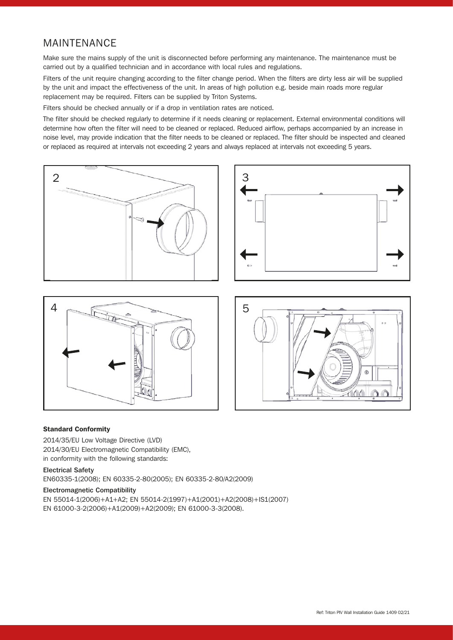### MAINTENANCE

Make sure the mains supply of the unit is disconnected before performing any maintenance. The maintenance must be carried out by a qualified technician and in accordance with local rules and regulations.

Filters of the unit require changing according to the filter change period. When the filters are dirty less air will be supplied by the unit and impact the effectiveness of the unit. In areas of high pollution e.g. beside main roads more regular replacement may be required. Filters can be supplied by Triton Systems.

Filters should be checked annually or if a drop in ventilation rates are noticed.

The filter should be checked regularly to determine if it needs cleaning or replacement. External environmental conditions will determine how often the filter will need to be cleaned or replaced. Reduced airflow, perhaps accompanied by an increase in noise level, may provide indication that the filter needs to be cleaned or replaced. The filter should be inspected and cleaned or replaced as required at intervals not exceeding 2 years and always replaced at intervals not exceeding 5 years.







#### Standard Conformity

2014/35/EU Low Voltage Directive (LVD) 2014/30/EU Electromagnetic Compatibility (EMC), in conformity with the following standards:

#### Electrical Safety

EN60335-1(2008); EN 60335-2-80(2005); EN 60335-2-80/A2(2009)

#### Electromagnetic Compatibility

EN 55014-1(2006)+A1+A2; EN 55014-2(1997)+A1(2001)+A2(2008)+IS1(2007) EN 61000-3-2(2006)+A1(2009)+A2(2009); EN 61000-3-3(2008).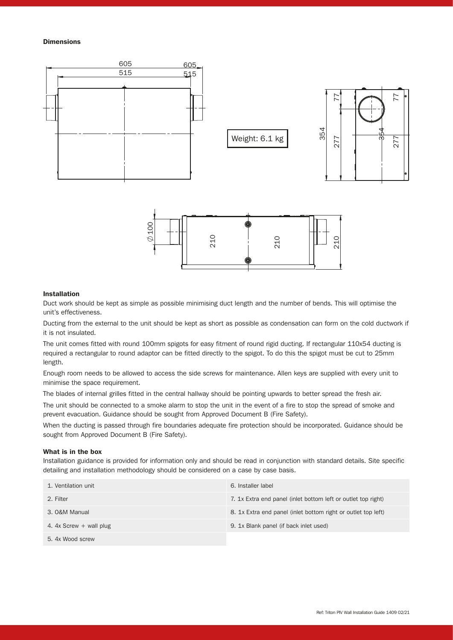#### **Dimensions**



#### Installation

Duct work should be kept as simple as possible minimising duct length and the number of bends. This will optimise the unit's effectiveness.

Ducting from the external to the unit should be kept as short as possible as condensation can form on the cold ductwork if it is not insulated.

The unit comes fitted with round 100mm spigots for easy fitment of round rigid ducting. If rectangular 110x54 ducting is required a rectangular to round adaptor can be fitted directly to the spigot. To do this the spigot must be cut to 25mm length.

Enough room needs to be allowed to access the side screws for maintenance. Allen keys are supplied with every unit to minimise the space requirement.

The blades of internal grilles fitted in the central hallway should be pointing upwards to better spread the fresh air.

The unit should be connected to a smoke alarm to stop the unit in the event of a fire to stop the spread of smoke and prevent evacuation. Guidance should be sought from Approved Document B (Fire Safety).

When the ducting is passed through fire boundaries adequate fire protection should be incorporated. Guidance should be sought from Approved Document B (Fire Safety).

#### What is in the box

Installation guidance is provided for information only and should be read in conjunction with standard details. Site specific detailing and installation methodology should be considered on a case by case basis.

| 1. Ventilation unit     | 6. Installer label                                            |
|-------------------------|---------------------------------------------------------------|
| 2. Filter               | 7. 1x Extra end panel (inlet bottom left or outlet top right) |
| 3. O&M Manual           | 8. 1x Extra end panel (inlet bottom right or outlet top left) |
| 4. 4x Screw + wall plug | 9. 1x Blank panel (if back inlet used)                        |
| 5. 4x Wood screw        |                                                               |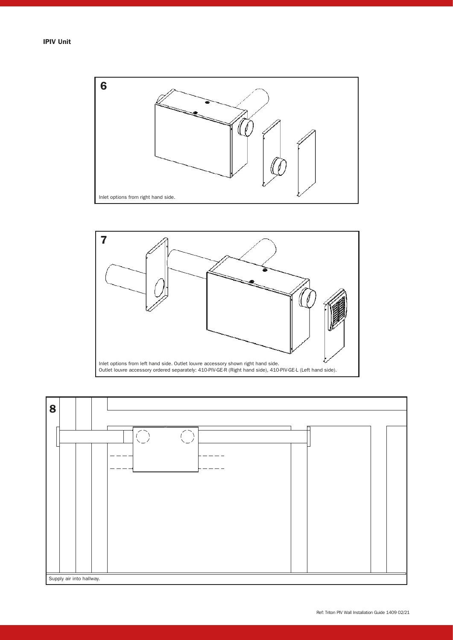



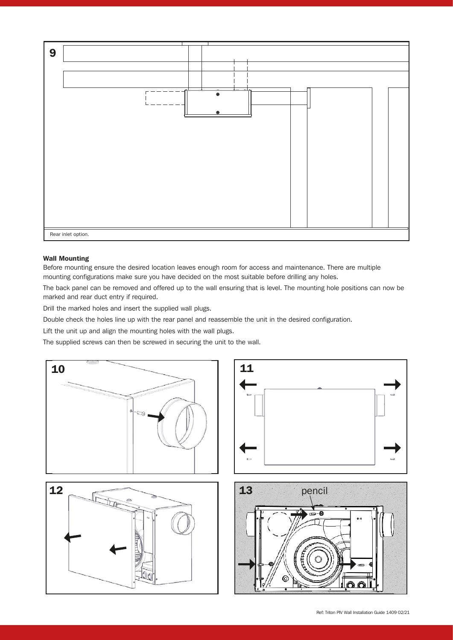

#### Wall Mounting

Before mounting ensure the desired location leaves enough room for access and maintenance. There are multiple mounting configurations make sure you have decided on the most suitable before drilling any holes.

The back panel can be removed and offered up to the wall ensuring that is level. The mounting hole positions can now be marked and rear duct entry if required.

Drill the marked holes and insert the supplied wall plugs.

Double check the holes line up with the rear panel and reassemble the unit in the desired configuration.

Lift the unit up and align the mounting holes with the wall plugs.

The supplied screws can then be screwed in securing the unit to the wall.

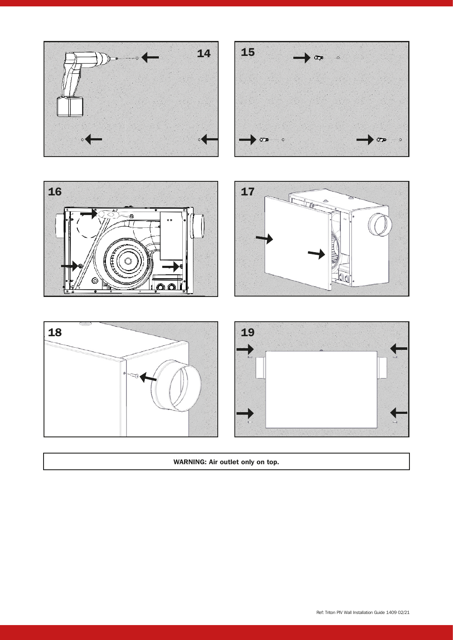



WARNING: Air outlet only on top.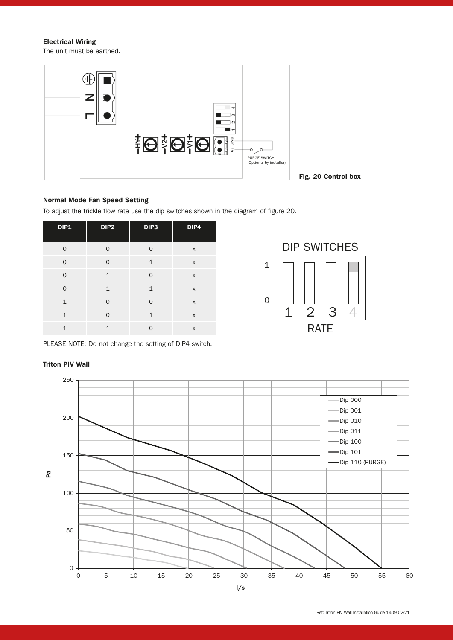Electrical Wiring

The unit must be earthed.



#### Fig. 20 Control box

#### Normal Mode Fan Speed Setting

To adjust the trickle flow rate use the dip switches shown in the diagram of figure 20.

| DIP1         | DIP <sub>2</sub> | DIP <sub>3</sub> | DIP4 |
|--------------|------------------|------------------|------|
| $\Omega$     | $\Omega$         | $\Omega$         | X    |
| $\Omega$     | 0                | $\mathbf{1}$     | X    |
| $\Omega$     | $\mathbf{1}$     | $\overline{O}$   | X    |
| $\Omega$     | $\mathbf{1}$     | $\mathbf{1}$     | X    |
| $\mathbf{1}$ | $\Omega$         | $\Omega$         | X    |
| 1            | 0                | $\mathbf{1}$     | X    |
| $\mathbf{1}$ | $\mathbf{1}$     | $\Omega$         | X    |



PLEASE NOTE: Do not change the setting of DIP4 switch.

#### Triton PIV Wall

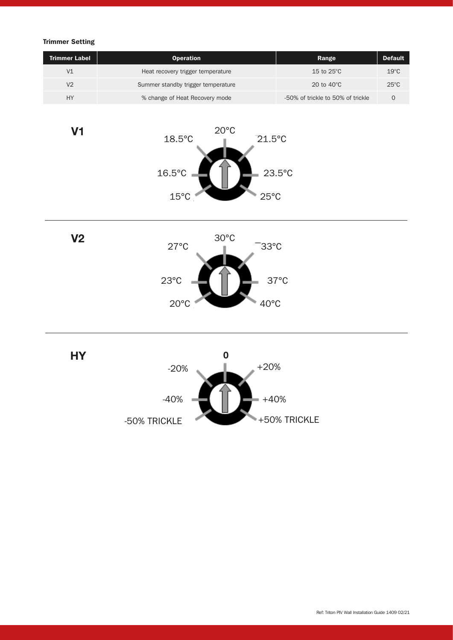#### Trimmer Setting

V1

| <b>Trimmer Label</b> | <b>Operation</b>                   | Range                             | <b>Default</b> |
|----------------------|------------------------------------|-----------------------------------|----------------|
| V <sub>1</sub>       | Heat recovery trigger temperature  | 15 to $25^{\circ}$ C              | $19^{\circ}$ C |
| V <sub>2</sub>       | Summer standby trigger temperature | 20 to $40^{\circ}$ C              | $25^{\circ}$ C |
| HY                   | % change of Heat Recovery mode     | -50% of trickle to 50% of trickle |                |





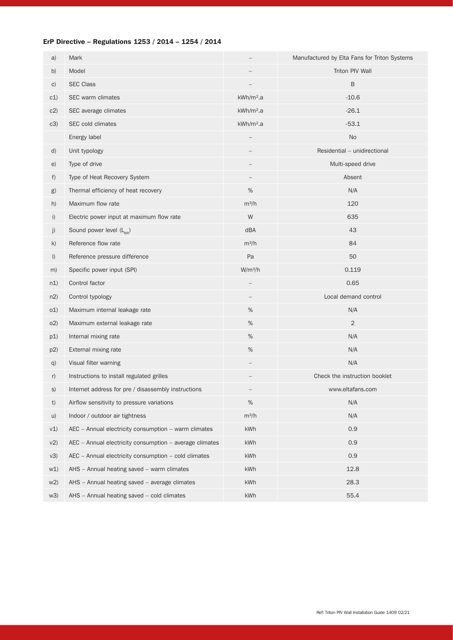#### ErP Directive – Regulations 1253 / 2014 – 1254 / 2014

| a)             | Mark                                                    |                       | Manufactured by Elta Fans for Triton Systems |
|----------------|---------------------------------------------------------|-----------------------|----------------------------------------------|
| b)             | Model                                                   |                       | Triton PIV Wall                              |
| C)             | <b>SEC Class</b>                                        |                       | B                                            |
| c1)            | SEC warm climates                                       | kWh/m <sup>2</sup> .a | $-10.6$                                      |
| c2)            | SEC average climates                                    | kWh/m <sup>2</sup> .a | $-26.1$                                      |
| c3)            | SEC cold climates                                       | kWh/m <sup>2</sup> .a | $-53.1$                                      |
|                | Energy label                                            |                       | <b>No</b>                                    |
| d)             | Unit typology                                           |                       | Residential - unidirectional                 |
| e)             | Type of drive                                           |                       | Multi-speed drive                            |
| f)             | Type of Heat Recovery System                            |                       | Absent                                       |
| g)             | Thermal efficiency of heat recovery                     | $\%$                  | N/A                                          |
| h)             | Maximum flow rate                                       | $m^3/h$               | 120                                          |
| i)             | Electric power input at maximum flow rate               | W                     | 635                                          |
| j)             | Sound power level (L <sub>wa</sub> )                    | dBA                   | 43                                           |
| k)             | Reference flow rate                                     | $m^3/h$               | 84                                           |
| $\vert$        | Reference pressure difference                           | Pa                    | 50                                           |
| m)             | Specific power input (SPI)                              | W/m <sup>3</sup> /h   | 0.119                                        |
| n1)            | Control factor                                          |                       | 0.65                                         |
| n2)            | Control typology                                        |                       | Local demand control                         |
| o(1)           | Maximum internal leakage rate                           | $\%$                  | N/A                                          |
| O(2)           | Maximum external leakage rate                           | $\%$                  | $\overline{2}$                               |
| p1)            | Internal mixing rate                                    | $\%$                  | N/A                                          |
| p2)            | External mixing rate                                    | $\%$                  | N/A                                          |
| q)             | Visual filter warning                                   |                       | N/A                                          |
| r)             | Instructions to install regulated grilles               |                       | Check the instruction booklet                |
| S)             | Internet address for pre / disassembly instructions     |                       | www.eltafans.com                             |
| t)             | Airflow sensitivity to pressure variations              | $\%$                  | N/A                                          |
| u)             | Indoor / outdoor air tightness                          | $m^3/h$               | N/A                                          |
| v1)            | AEC - Annual electricity consumption - warm climates    | kWh                   | 0.9                                          |
| v2)            | AEC - Annual electricity consumption - average climates | kWh                   | 0.9                                          |
| v3)            | AEC - Annual electricity consumption - cold climates    | kWh                   | 0.9                                          |
| w1)            | AHS - Annual heating saved - warm climates              | kWh                   | 12.8                                         |
| W <sub>2</sub> | AHS - Annual heating saved - average climates           | kWh                   | 28.3                                         |
| w3)            | AHS - Annual heating saved - cold climates              | kWh                   | 55.4                                         |